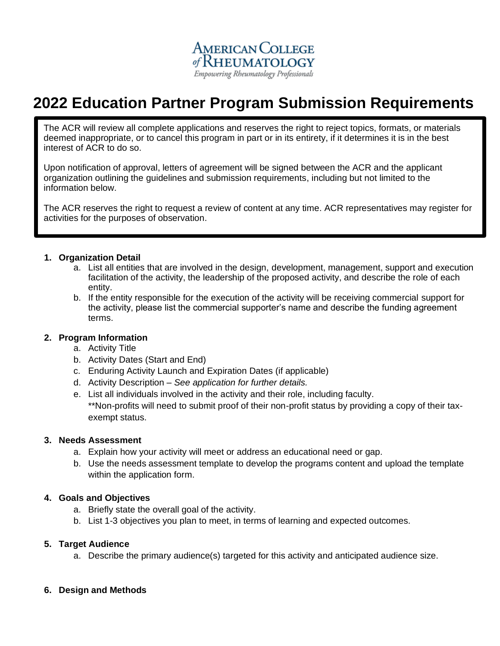

# **2022 Education Partner Program Submission Requirements**

The ACR will review all complete applications and reserves the right to reject topics, formats, or materials deemed inappropriate, or to cancel this program in part or in its entirety, if it determines it is in the best interest of ACR to do so.

Upon notification of approval, letters of agreement will be signed between the ACR and the applicant organization outlining the guidelines and submission requirements, including but not limited to the information below.

The ACR reserves the right to request a review of content at any time. ACR representatives may register for activities for the purposes of observation.

## **1. Organization Detail**

- a. List all entities that are involved in the design, development, management, support and execution facilitation of the activity, the leadership of the proposed activity, and describe the role of each entity.
- b. If the entity responsible for the execution of the activity will be receiving commercial support for the activity, please list the commercial supporter's name and describe the funding agreement terms.

#### **2. Program Information**

- a. Activity Title
- b. Activity Dates (Start and End)
- c. Enduring Activity Launch and Expiration Dates (if applicable)
- d. Activity Description *See application for further details.*
- e. List all individuals involved in the activity and their role, including faculty. \*Non-profits will need to submit proof of their non-profit status by providing a copy of their taxexempt status.

## **3. Needs Assessment**

- a. Explain how your activity will meet or address an educational need or gap.
- b. Use the needs assessment template to develop the programs content and upload the template within the application form.

#### **4. Goals and Objectives**

- a. Briefly state the overall goal of the activity.
- b. List 1-3 objectives you plan to meet, in terms of learning and expected outcomes.

#### **5. Target Audience**

a. Describe the primary audience(s) targeted for this activity and anticipated audience size.

#### **6. Design and Methods**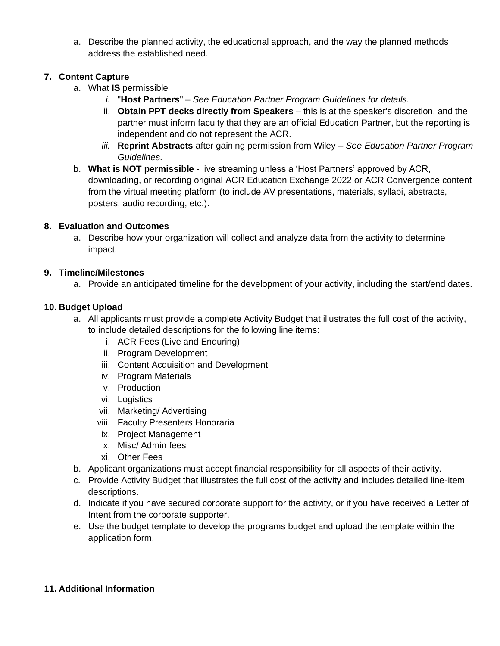a. Describe the planned activity, the educational approach, and the way the planned methods address the established need.

## **7. Content Capture**

- a. What **IS** permissible
	- *i.* "**Host Partners**" *See Education Partner Program Guidelines for details.*
	- ii. **Obtain PPT decks directly from Speakers** this is at the speaker's discretion, and the partner must inform faculty that they are an official Education Partner, but the reporting is independent and do not represent the ACR.
	- *iii.* **Reprint Abstracts** after gaining permission from Wiley *See Education Partner Program Guidelines.*
- b. **What is NOT permissible** live streaming unless a 'Host Partners' approved by ACR, downloading, or recording original ACR Education Exchange 2022 or ACR Convergence content from the virtual meeting platform (to include AV presentations, materials, syllabi, abstracts, posters, audio recording, etc.).

# **8. Evaluation and Outcomes**

a. Describe how your organization will collect and analyze data from the activity to determine impact.

## **9. Timeline/Milestones**

a. Provide an anticipated timeline for the development of your activity, including the start/end dates.

# **10. Budget Upload**

- a. All applicants must provide a complete Activity Budget that illustrates the full cost of the activity, to include detailed descriptions for the following line items:
	- i. ACR Fees (Live and Enduring)
	- ii. Program Development
	- iii. Content Acquisition and Development
	- iv. Program Materials
	- v. Production
	- vi. Logistics
	- vii. Marketing/ Advertising
	- viii. Faculty Presenters Honoraria
	- ix. Project Management
	- x. Misc/ Admin fees
	- xi. Other Fees
- b. Applicant organizations must accept financial responsibility for all aspects of their activity.
- c. Provide Activity Budget that illustrates the full cost of the activity and includes detailed line-item descriptions.
- d. Indicate if you have secured corporate support for the activity, or if you have received a Letter of Intent from the corporate supporter.
- e. Use the budget template to develop the programs budget and upload the template within the application form.

## **11. Additional Information**